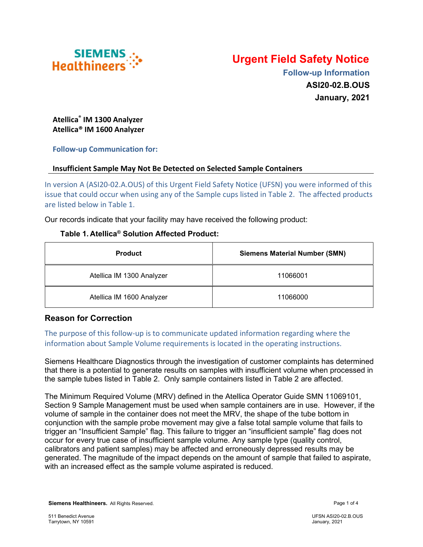

# Urgent Field Safety Notice

 Follow-up Information ASI20-02.B.OUS January, 2021

Atellica® IM 1300 Analyzer Atellica® IM 1600 Analyzer

#### Follow-up Communication for:

#### Insufficient Sample May Not Be Detected on Selected Sample Containers

In version A (ASI20-02.A.OUS) of this Urgent Field Safety Notice (UFSN) you were informed of this issue that could occur when using any of the Sample cups listed in Table 2. The affected products are listed below in Table 1.

Our records indicate that your facility may have received the following product:

#### Table 1. Atellica® Solution Affected Product:

| <b>Product</b>            | <b>Siemens Material Number (SMN)</b> |
|---------------------------|--------------------------------------|
| Atellica IM 1300 Analyzer | 11066001                             |
| Atellica IM 1600 Analyzer | 11066000                             |

## Reason for Correction

The purpose of this follow-up is to communicate updated information regarding where the information about Sample Volume requirements is located in the operating instructions.

Siemens Healthcare Diagnostics through the investigation of customer complaints has determined that there is a potential to generate results on samples with insufficient volume when processed in the sample tubes listed in Table 2. Only sample containers listed in Table 2 are affected.

The Minimum Required Volume (MRV) defined in the Atellica Operator Guide SMN 11069101, Section 9 Sample Management must be used when sample containers are in use. However, if the volume of sample in the container does not meet the MRV, the shape of the tube bottom in conjunction with the sample probe movement may give a false total sample volume that fails to trigger an "Insufficient Sample" flag. This failure to trigger an "insufficient sample" flag does not occur for every true case of insufficient sample volume. Any sample type (quality control, calibrators and patient samples) may be affected and erroneously depressed results may be generated. The magnitude of the impact depends on the amount of sample that failed to aspirate, with an increased effect as the sample volume aspirated is reduced.

Siemens Healthineers. All Rights Reserved. **Page 1 of 4** and 2008 and 2008 and 2008 and 2008 and 2008 and 2008 and 2008 and 2008 and 2008 and 2008 and 2008 and 2008 and 2008 and 2008 and 2008 and 2008 and 2008 and 2008 and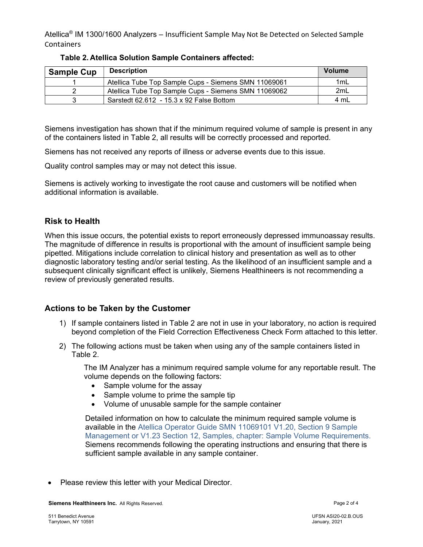Atellica® IM 1300/1600 Analyzers – Insufficient Sample May Not Be Detected on Selected Sample Containers

| <b>Sample Cup</b> | <b>Description</b>                                   | <b>Volume</b> |
|-------------------|------------------------------------------------------|---------------|
|                   | Atellica Tube Top Sample Cups - Siemens SMN 11069061 | 1mL           |
|                   | Atellica Tube Top Sample Cups - Siemens SMN 11069062 | 2mL           |
|                   | Sarstedt $62.612 - 15.3 \times 92$ False Bottom      | 4 mL          |

Table 2. Atellica Solution Sample Containers affected:

Siemens investigation has shown that if the minimum required volume of sample is present in any of the containers listed in Table 2, all results will be correctly processed and reported.

Siemens has not received any reports of illness or adverse events due to this issue.

Quality control samples may or may not detect this issue.

Siemens is actively working to investigate the root cause and customers will be notified when additional information is available.

## Risk to Health

When this issue occurs, the potential exists to report erroneously depressed immunoassay results. The magnitude of difference in results is proportional with the amount of insufficient sample being pipetted. Mitigations include correlation to clinical history and presentation as well as to other diagnostic laboratory testing and/or serial testing. As the likelihood of an insufficient sample and a subsequent clinically significant effect is unlikely, Siemens Healthineers is not recommending a review of previously generated results.

## Actions to be Taken by the Customer

- 1) If sample containers listed in Table 2 are not in use in your laboratory, no action is required beyond completion of the Field Correction Effectiveness Check Form attached to this letter.
- 2) The following actions must be taken when using any of the sample containers listed in Table 2.

The IM Analyzer has a minimum required sample volume for any reportable result. The volume depends on the following factors:

- Sample volume for the assay
- Sample volume to prime the sample tip
- Volume of unusable sample for the sample container

Detailed information on how to calculate the minimum required sample volume is available in the Atellica Operator Guide SMN 11069101 V1.20, Section 9 Sample Management or V1.23 Section 12, Samples, chapter: Sample Volume Requirements. Siemens recommends following the operating instructions and ensuring that there is sufficient sample available in any sample container.

Please review this letter with your Medical Director.

Siemens Healthineers Inc. All Rights Reserved. **Page 2 of 4** and 2 of 4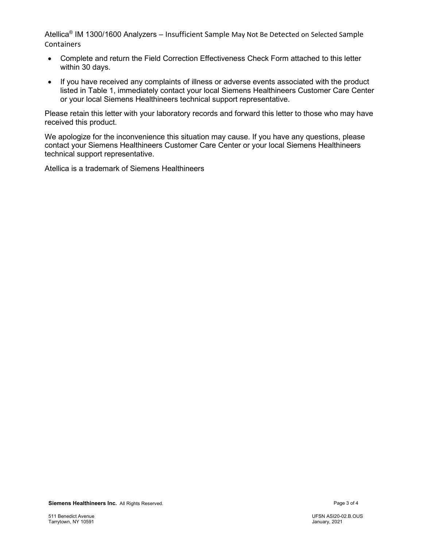Atellica® IM 1300/1600 Analyzers – Insufficient Sample May Not Be Detected on Selected Sample Containers

- Complete and return the Field Correction Effectiveness Check Form attached to this letter within 30 days.
- If you have received any complaints of illness or adverse events associated with the product listed in Table 1, immediately contact your local Siemens Healthineers Customer Care Center or your local Siemens Healthineers technical support representative.

Please retain this letter with your laboratory records and forward this letter to those who may have received this product.

We apologize for the inconvenience this situation may cause. If you have any questions, please contact your Siemens Healthineers Customer Care Center or your local Siemens Healthineers technical support representative.

Atellica is a trademark of Siemens Healthineers

Siemens Healthineers Inc. All Rights Reserved. **Page 3 of 4** and 2 of 4 and 2 of 4 and 2 of 4